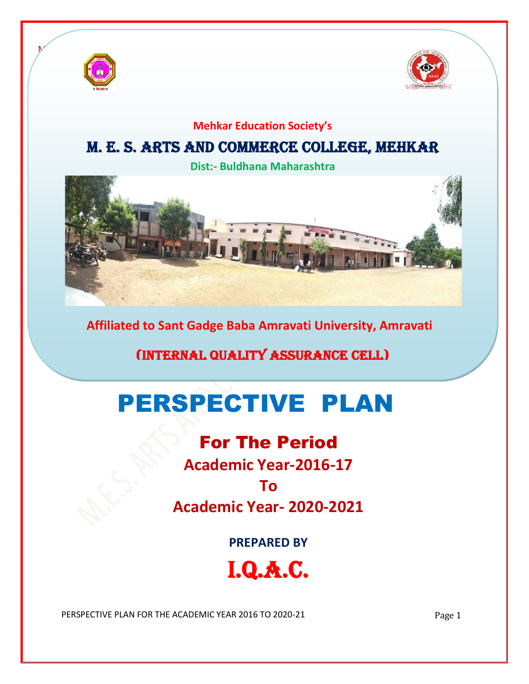



### **Mehkar Education Society's**

## M. E. S. Arts and Commerce College, Mehkar

**Dist:- Buldhana Maharashtra**



**Affiliated to Sant Gadge Baba Amravati University, Amravati**

# (Internal Quality Assurance Cell)

# PERSPECTIVE PLAN

# For The Period

**Academic Year-2016-17**

### **To**

**Academic Year- 2020-2021**

**PREPARED BY**

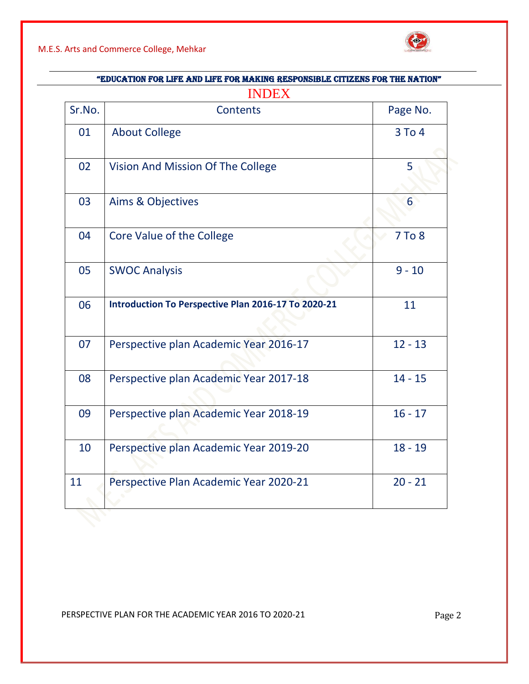



| "EDUCATION FOR LIFE AND LIFE FOR MAKING RESPONSIBLE CITIZENS FOR THE NATION"<br><b>INDEX</b> |                                                     |           |
|----------------------------------------------------------------------------------------------|-----------------------------------------------------|-----------|
|                                                                                              |                                                     |           |
| 01                                                                                           | <b>About College</b>                                | 3 To 4    |
| 02                                                                                           | Vision And Mission Of The College                   | 5         |
| 03                                                                                           | Aims & Objectives                                   | 6         |
| 04                                                                                           | Core Value of the College                           | 7 To 8    |
| 05                                                                                           | <b>SWOC Analysis</b>                                | $9 - 10$  |
| 06                                                                                           | Introduction To Perspective Plan 2016-17 To 2020-21 | 11        |
| 07                                                                                           | Perspective plan Academic Year 2016-17              | $12 - 13$ |
| 08                                                                                           | Perspective plan Academic Year 2017-18              | $14 - 15$ |
| 09                                                                                           | Perspective plan Academic Year 2018-19              | $16 - 17$ |
| 10                                                                                           | Perspective plan Academic Year 2019-20              | $18 - 19$ |
| 11                                                                                           | Perspective Plan Academic Year 2020-21              | $20 - 21$ |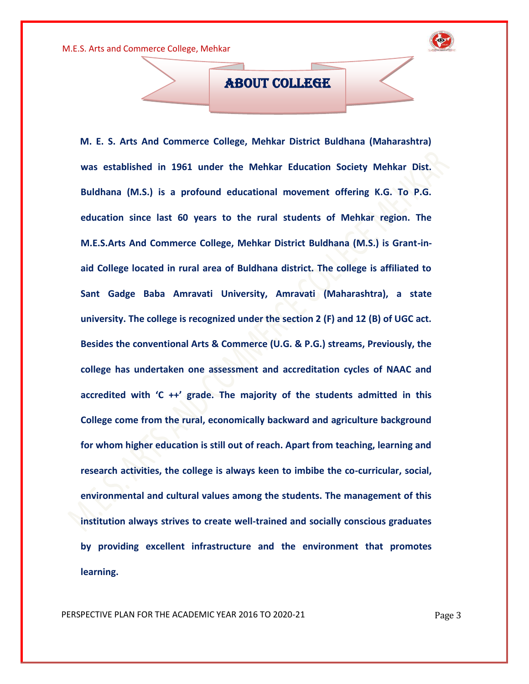

ABOUT COLLEGE

 **M. E. S. Arts And Commerce College, Mehkar District Buldhana (Maharashtra) was established in 1961 under the Mehkar Education Society Mehkar Dist. Buldhana (M.S.) is a profound educational movement offering K.G. To P.G. education since last 60 years to the rural students of Mehkar region. The M.E.S.Arts And Commerce College, Mehkar District Buldhana (M.S.) is Grant-inaid College located in rural area of Buldhana district. The college is affiliated to Sant Gadge Baba Amravati University, Amravati (Maharashtra), a state university. The college is recognized under the section 2 (F) and 12 (B) of UGC act. Besides the conventional Arts & Commerce (U.G. & P.G.) streams, Previously, the college has undertaken one assessment and accreditation cycles of NAAC and accredited with 'C ++' grade. The majority of the students admitted in this College come from the rural, economically backward and agriculture background for whom higher education is still out of reach. Apart from teaching, learning and research activities, the college is always keen to imbibe the co-curricular, social, environmental and cultural values among the students. The management of this institution always strives to create well-trained and socially conscious graduates by providing excellent infrastructure and the environment that promotes learning.**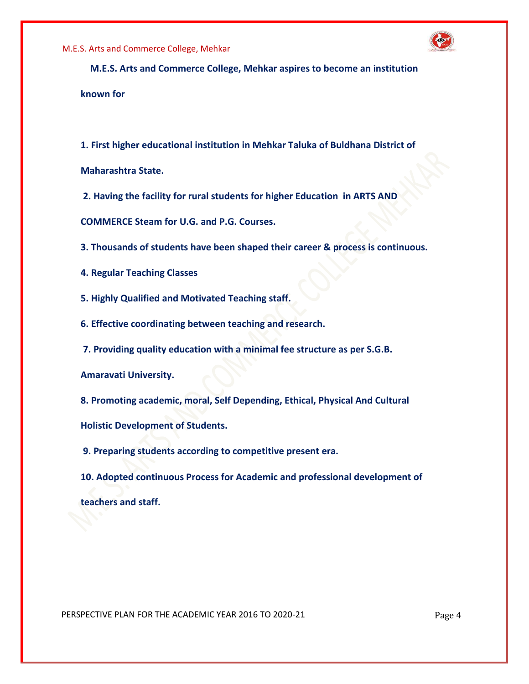

 **M.E.S. Arts and Commerce College, Mehkar aspires to become an institution known for** 

**1. First higher educational institution in Mehkar Taluka of Buldhana District of** 

**Maharashtra State.**

**2. Having the facility for rural students for higher Education in ARTS AND** 

**COMMERCE Steam for U.G. and P.G. Courses.** 

**3. Thousands of students have been shaped their career & process is continuous.** 

**4. Regular Teaching Classes** 

**5. Highly Qualified and Motivated Teaching staff.** 

**6. Effective coordinating between teaching and research.**

**7. Providing quality education with a minimal fee structure as per S.G.B.** 

**Amaravati University.** 

**8. Promoting academic, moral, Self Depending, Ethical, Physical And Cultural** 

**Holistic Development of Students.**

**9. Preparing students according to competitive present era.** 

**10. Adopted continuous Process for Academic and professional development of teachers and staff.**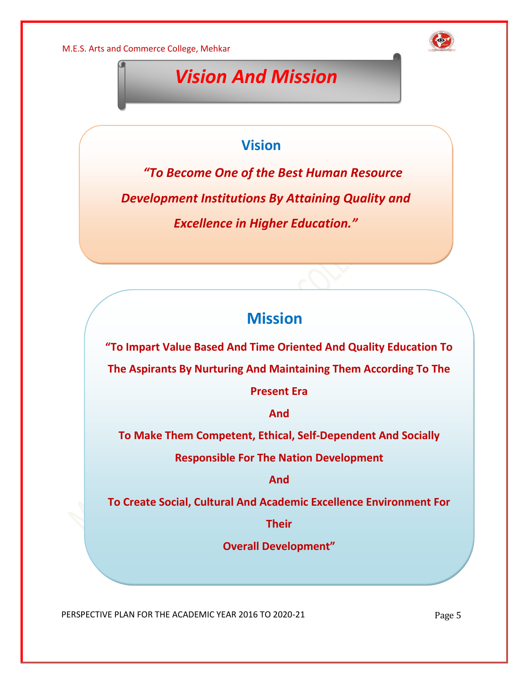

# *Vision And Mission*

### **Vision**

 *"To Become One of the Best Human Resource Development Institutions By Attaining Quality and Excellence in Higher Education."*

# **Mission**

**"To Impart Value Based And Time Oriented And Quality Education To** 

**The Aspirants By Nurturing And Maintaining Them According To The** 

**Present Era**

**And**

**To Make Them Competent, Ethical, Self-Dependent And Socially** 

**Responsible For The Nation Development**

**And**

**To Create Social, Cultural And Academic Excellence Environment For** 

**Their** 

**Overall Development"**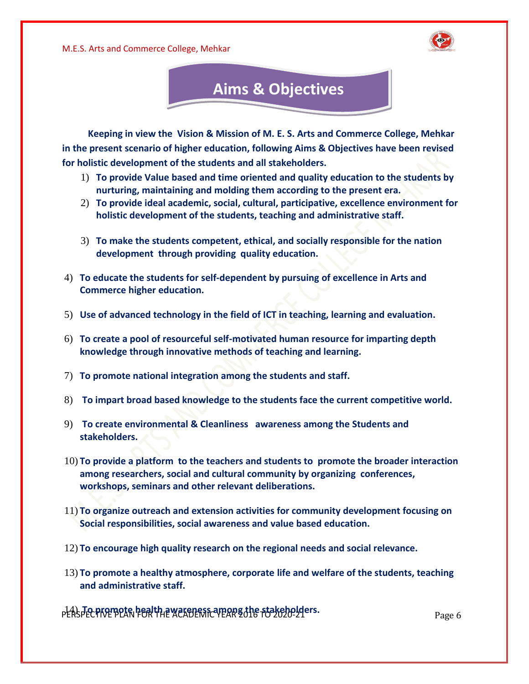



 **Keeping in view the Vision & Mission of M. E. S. Arts and Commerce College, Mehkar in the present scenario of higher education, following Aims & Objectives have been revised for holistic development of the students and all stakeholders.** 

- 1) **To provide Value based and time oriented and quality education to the students by nurturing, maintaining and molding them according to the present era.**
- 2) **To provide ideal academic, social, cultural, participative, excellence environment for holistic development of the students, teaching and administrative staff.**
- 3) **To make the students competent, ethical, and socially responsible for the nation development through providing quality education.**
- 4) **To educate the students for self-dependent by pursuing of excellence in Arts and Commerce higher education.**
- 5) **Use of advanced technology in the field of ICT in teaching, learning and evaluation.**
- 6) **To create a pool of resourceful self-motivated human resource for imparting depth knowledge through innovative methods of teaching and learning.**
- 7) **To promote national integration among the students and staff.**
- 8) **To impart broad based knowledge to the students face the current competitive world.**
- 9) **To create environmental & Cleanliness awareness among the Students and stakeholders.**
- 10) **To provide a platform to the teachers and students to promote the broader interaction among researchers, social and cultural community by organizing conferences, workshops, seminars and other relevant deliberations.**
- 11) **To organize outreach and extension activities for community development focusing on Social responsibilities, social awareness and value based education.**
- 12) **To encourage high quality research on the regional needs and social relevance.**
- 13) **To promote a healthy atmosphere, corporate life and welfare of the students, teaching and administrative staff.**

p<del>{A</del>SpECPK&ቸPEAR FOR THE MOKER FOR THE STAKEHOLD PAGE 6 PAGE 6 Page 6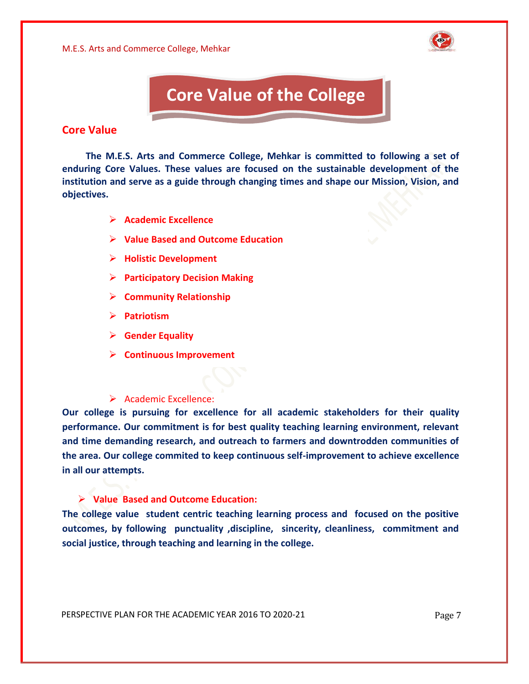

# **Core Value of the College**

#### **Core Value**

 **The M.E.S. Arts and Commerce College, Mehkar is committed to following a set of enduring Core Values. These values are focused on the sustainable development of the institution and serve as a guide through changing times and shape our Mission, Vision, and objectives.**

- ➢ **Academic Excellence**
- ➢ **Value Based and Outcome Education**
- ➢ **Holistic Development**
- ➢ **Participatory Decision Making**
- ➢ **Community Relationship**
- ➢ **Patriotism**
- ➢ **Gender Equality**
- ➢ **Continuous Improvement**

#### ➢ Academic Excellence:

**Our college is pursuing for excellence for all academic stakeholders for their quality performance. Our commitment is for best quality teaching learning environment, relevant and time demanding research, and outreach to farmers and downtrodden communities of the area. Our college commited to keep continuous self-improvement to achieve excellence in all our attempts.**

#### ➢ **Value Based and Outcome Education:**

**The college value student centric teaching learning process and focused on the positive outcomes, by following punctuality ,discipline, sincerity, cleanliness, commitment and social justice, through teaching and learning in the college.**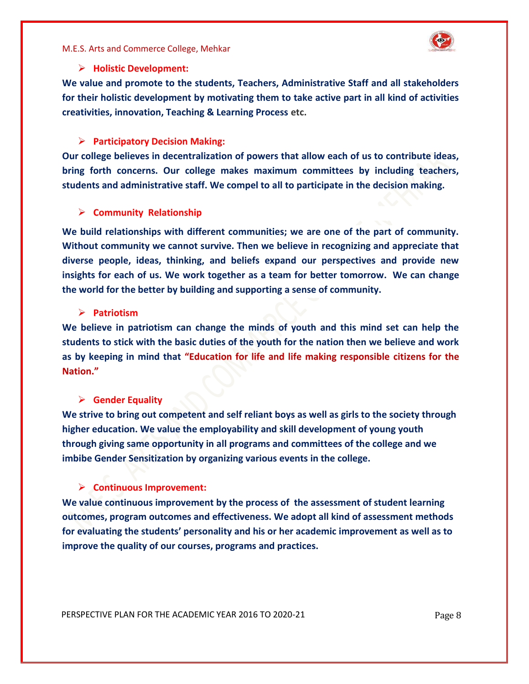

#### ➢ **Holistic Development:**

**We value and promote to the students, Teachers, Administrative Staff and all stakeholders for their holistic development by motivating them to take active part in all kind of activities creativities, innovation, Teaching & Learning Process etc.**

#### ➢ **Participatory Decision Making:**

**Our college believes in decentralization of powers that allow each of us to contribute ideas, bring forth concerns. Our college makes maximum committees by including teachers, students and administrative staff. We compel to all to participate in the decision making.**

#### ➢ **Community Relationship**

**We build relationships with different communities; we are one of the part of community. Without community we cannot survive. Then we believe in recognizing and appreciate that diverse people, ideas, thinking, and beliefs expand our perspectives and provide new insights for each of us. We work together as a team for better tomorrow. We can change the world for the better by building and supporting a sense of community.**

#### ➢ **Patriotism**

**We believe in patriotism can change the minds of youth and this mind set can help the students to stick with the basic duties of the youth for the nation then we believe and work as by keeping in mind that "Education for life and life making responsible citizens for the Nation."**

#### ➢ **Gender Equality**

**We strive to bring out competent and self reliant boys as well as girls to the society through higher education. We value the employability and skill development of young youth through giving same opportunity in all programs and committees of the college and we imbibe Gender Sensitization by organizing various events in the college.**

#### ➢ **Continuous Improvement:**

**We value continuous improvement by the process of the assessment of student learning outcomes, program outcomes and effectiveness. We adopt all kind of assessment methods for evaluating the students' personality and his or her academic improvement as well as to improve the quality of our courses, programs and practices.**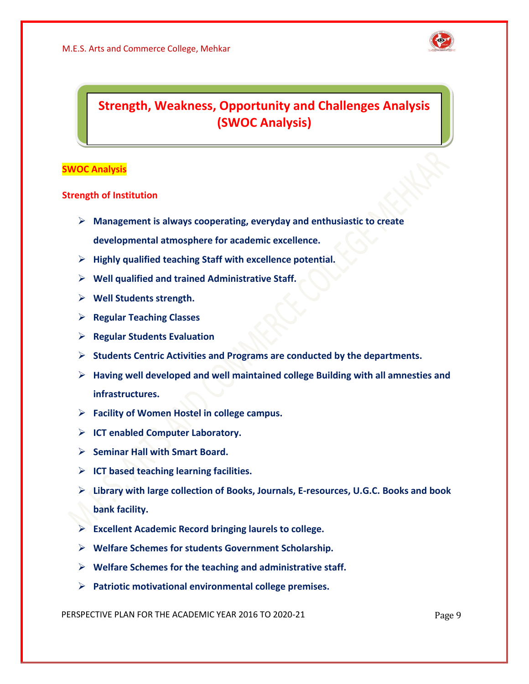

### **Strength, Weakness, Opportunity and Challenges Analysis (SWOC Analysis)**

#### **SWOC Analysis**

#### **Strength of Institution**

- ➢ **Management is always cooperating, everyday and enthusiastic to create developmental atmosphere for academic excellence.**
- ➢ **Highly qualified teaching Staff with excellence potential.**
- ➢ **Well qualified and trained Administrative Staff.**
- ➢ **Well Students strength.**
- ➢ **Regular Teaching Classes**
- ➢ **Regular Students Evaluation**
- ➢ **Students Centric Activities and Programs are conducted by the departments.**
- ➢ **Having well developed and well maintained college Building with all amnesties and infrastructures.**
- ➢ **Facility of Women Hostel in college campus.**
- ➢ **ICT enabled Computer Laboratory.**
- ➢ **Seminar Hall with Smart Board.**
- ➢ **ICT based teaching learning facilities.**
- ➢ **Library with large collection of Books, Journals, E-resources, U.G.C. Books and book bank facility.**
- ➢ **Excellent Academic Record bringing laurels to college.**
- ➢ **Welfare Schemes for students Government Scholarship.**
- ➢ **Welfare Schemes for the teaching and administrative staff.**
- ➢ **Patriotic motivational environmental college premises.**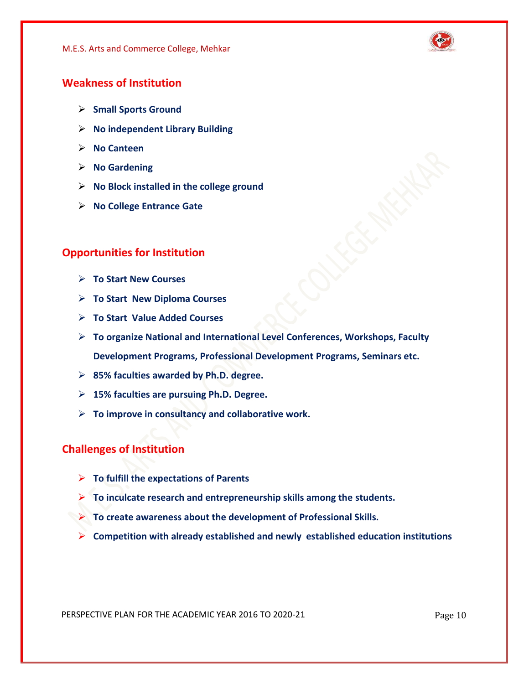

#### **Weakness of Institution**

- ➢ **Small Sports Ground**
- ➢ **No independent Library Building**
- ➢ **No Canteen**
- ➢ **No Gardening**
- ➢ **No Block installed in the college ground**
- ➢ **No College Entrance Gate**

#### **Opportunities for Institution**

- ➢ **To Start New Courses**
- ➢ **To Start New Diploma Courses**
- ➢ **To Start Value Added Courses**
- ➢ **To organize National and International Level Conferences, Workshops, Faculty Development Programs, Professional Development Programs, Seminars etc.**
- ➢ **85% faculties awarded by Ph.D. degree.**
- ➢ **15% faculties are pursuing Ph.D. Degree.**
- ➢ **To improve in consultancy and collaborative work.**

#### **Challenges of Institution**

- ➢ **To fulfill the expectations of Parents**
- ➢ **To inculcate research and entrepreneurship skills among the students.**
- ➢ **To create awareness about the development of Professional Skills.**
	- ➢ **Competition with already established and newly established education institutions**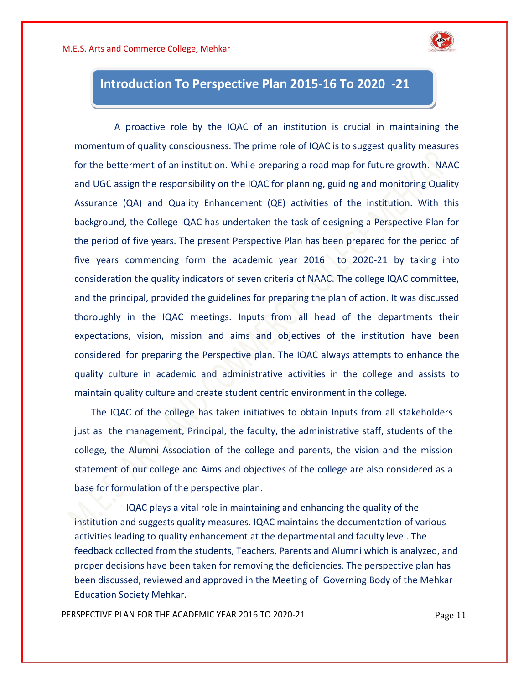

### **Introduction To Perspective Plan 2015-16 To 2020 -21**

 A proactive role by the IQAC of an institution is crucial in maintaining the momentum of quality consciousness. The prime role of IQAC is to suggest quality measures for the betterment of an institution. While preparing a road map for future growth. NAAC and UGC assign the responsibility on the IQAC for planning, guiding and monitoring Quality Assurance (QA) and Quality Enhancement (QE) activities of the institution. With this background, the College IQAC has undertaken the task of designing a Perspective Plan for the period of five years. The present Perspective Plan has been prepared for the period of five years commencing form the academic year 2016 to 2020-21 by taking into consideration the quality indicators of seven criteria of NAAC. The college IQAC committee, and the principal, provided the guidelines for preparing the plan of action. It was discussed thoroughly in the IQAC meetings. Inputs from all head of the departments their expectations, vision, mission and aims and objectives of the institution have been considered for preparing the Perspective plan. The IQAC always attempts to enhance the quality culture in academic and administrative activities in the college and assists to maintain quality culture and create student centric environment in the college.

 The IQAC of the college has taken initiatives to obtain Inputs from all stakeholders just as the management, Principal, the faculty, the administrative staff, students of the college, the Alumni Association of the college and parents, the vision and the mission statement of our college and Aims and objectives of the college are also considered as a base for formulation of the perspective plan.

 IQAC plays a vital role in maintaining and enhancing the quality of the institution and suggests quality measures. IQAC maintains the documentation of various activities leading to quality enhancement at the departmental and faculty level. The feedback collected from the students, Teachers, Parents and Alumni which is analyzed, and proper decisions have been taken for removing the deficiencies. The perspective plan has been discussed, reviewed and approved in the Meeting of Governing Body of the Mehkar Education Society Mehkar.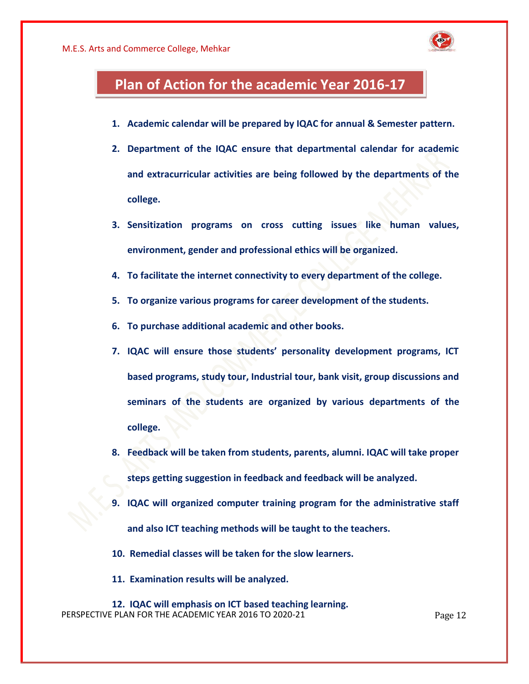

### **Plan of Action for the academic Year 2016-17**

- **1. Academic calendar will be prepared by IQAC for annual & Semester pattern.**
- **2. Department of the IQAC ensure that departmental calendar for academic and extracurricular activities are being followed by the departments of the college.**
- **3. Sensitization programs on cross cutting issues like human values, environment, gender and professional ethics will be organized.**
- **4. To facilitate the internet connectivity to every department of the college.**
- **5. To organize various programs for career development of the students.**
- **6. To purchase additional academic and other books.**
- **7. IQAC will ensure those students' personality development programs, ICT based programs, study tour, Industrial tour, bank visit, group discussions and seminars of the students are organized by various departments of the college.**
- **8. Feedback will be taken from students, parents, alumni. IQAC will take proper steps getting suggestion in feedback and feedback will be analyzed.**
- **9. IQAC will organized computer training program for the administrative staff and also ICT teaching methods will be taught to the teachers.**
- **10. Remedial classes will be taken for the slow learners.**
- **11. Examination results will be analyzed.**
- PERSPECTIVE PLAN FOR THE ACADEMIC YEAR 2016 TO 2020-21 Page 12 **12. IQAC will emphasis on ICT based teaching learning.**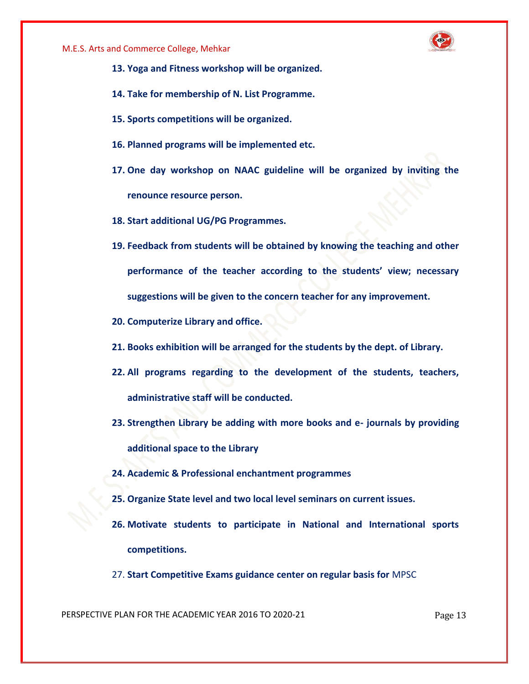

- **13. Yoga and Fitness workshop will be organized.**
- **14. Take for membership of N. List Programme.**
- **15. Sports competitions will be organized.**
- **16. Planned programs will be implemented etc.**
- **17. One day workshop on NAAC guideline will be organized by inviting the renounce resource person.**
- **18. Start additional UG/PG Programmes.**
- **19. Feedback from students will be obtained by knowing the teaching and other performance of the teacher according to the students' view; necessary suggestions will be given to the concern teacher for any improvement.**
- **20. Computerize Library and office.**
- **21. Books exhibition will be arranged for the students by the dept. of Library.**
- **22. All programs regarding to the development of the students, teachers, administrative staff will be conducted.**
- **23. Strengthen Library be adding with more books and e- journals by providing additional space to the Library**
- **24. Academic & Professional enchantment programmes**
- **25. Organize State level and two local level seminars on current issues.**
- **26. Motivate students to participate in National and International sports competitions.**
- 27. **Start Competitive Exams guidance center on regular basis for** MPSC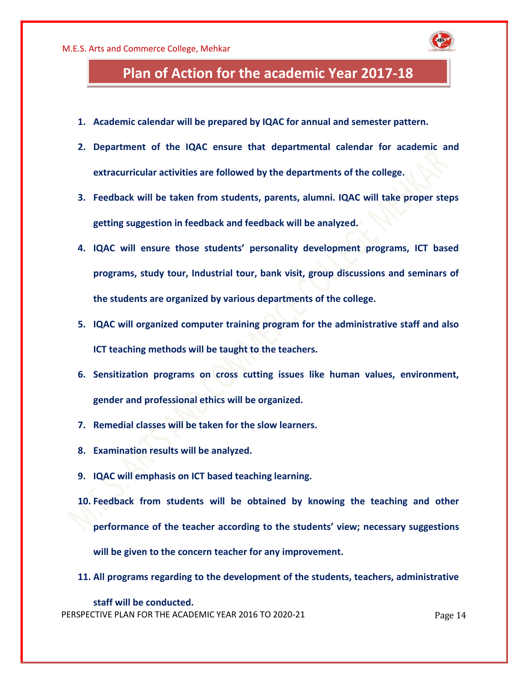

- **1. Academic calendar will be prepared by IQAC for annual and semester pattern.**
- **2. Department of the IQAC ensure that departmental calendar for academic and extracurricular activities are followed by the departments of the college.**
- **3. Feedback will be taken from students, parents, alumni. IQAC will take proper steps getting suggestion in feedback and feedback will be analyzed.**
- **4. IQAC will ensure those students' personality development programs, ICT based programs, study tour, Industrial tour, bank visit, group discussions and seminars of the students are organized by various departments of the college.**
- **5. IQAC will organized computer training program for the administrative staff and also ICT teaching methods will be taught to the teachers.**
- **6. Sensitization programs on cross cutting issues like human values, environment, gender and professional ethics will be organized.**
- **7. Remedial classes will be taken for the slow learners.**
- **8. Examination results will be analyzed.**
- **9. IQAC will emphasis on ICT based teaching learning.**
- **10. Feedback from students will be obtained by knowing the teaching and other performance of the teacher according to the students' view; necessary suggestions will be given to the concern teacher for any improvement.**
- **11. All programs regarding to the development of the students, teachers, administrative**

PERSPECTIVE PLAN FOR THE ACADEMIC YEAR 2016 TO 2020-21 Page 14 **staff will be conducted.**

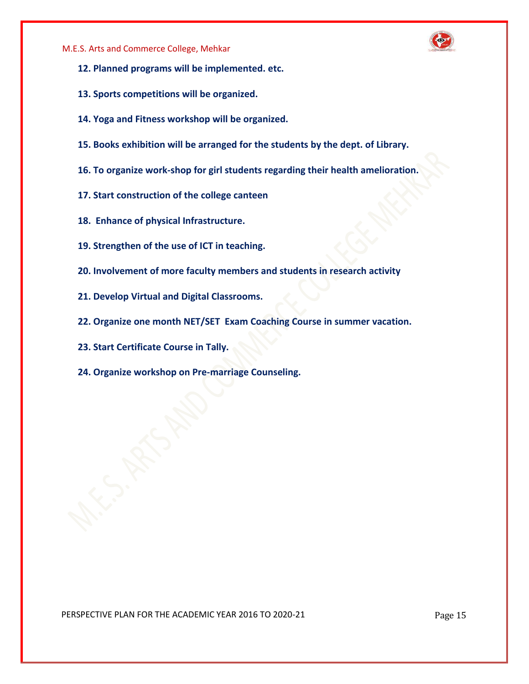

- **12. Planned programs will be implemented. etc.**
- **13. Sports competitions will be organized.**
- **14. Yoga and Fitness workshop will be organized.**
- **15. Books exhibition will be arranged for the students by the dept. of Library.**
- **16. To organize work-shop for girl students regarding their health amelioration.**
- **17. Start construction of the college canteen**
- **18. Enhance of physical Infrastructure.**
- **19. Strengthen of the use of ICT in teaching.**
- **20. Involvement of more faculty members and students in research activity**
- **21. Develop Virtual and Digital Classrooms.**
- **22. Organize one month NET/SET Exam Coaching Course in summer vacation.**
- **23. Start Certificate Course in Tally.**
- **24. Organize workshop on Pre-marriage Counseling.**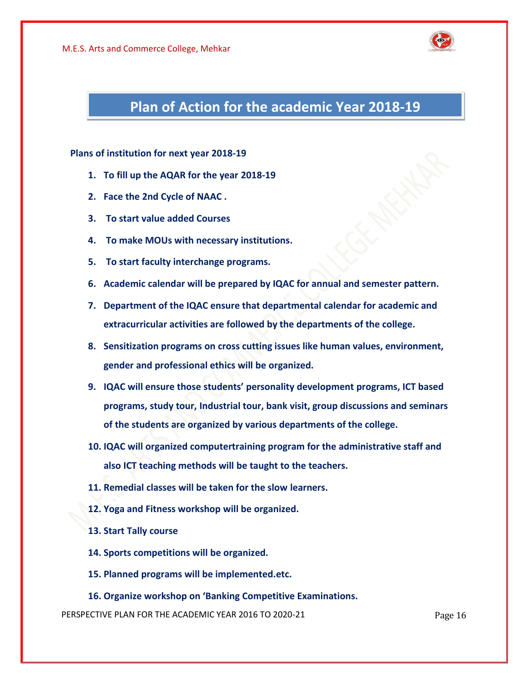

### **Plan of Action for the academic Year 2018-19**

**Plans of institution for next year 2018-19**

- **1. To fill up the AQAR for the year 2018-19**
- **2. Face the 2nd Cycle of NAAC .**
- **3. To start value added Courses**
- **4. To make MOUs with necessary institutions.**
- **5. To start faculty interchange programs.**
- **6. Academic calendar will be prepared by IQAC for annual and semester pattern.**
- **7. Department of the IQAC ensure that departmental calendar for academic and extracurricular activities are followed by the departments of the college.**
- **8. Sensitization programs on cross cutting issues like human values, environment, gender and professional ethics will be organized.**
- **9. IQAC will ensure those students' personality development programs, ICT based programs, study tour, Industrial tour, bank visit, group discussions and seminars of the students are organized by various departments of the college.**
- **10. IQAC will organized computertraining program for the administrative staff and also ICT teaching methods will be taught to the teachers.**
- **11. Remedial classes will be taken for the slow learners.**
- **12. Yoga and Fitness workshop will be organized.**
- **13. Start Tally course**
- **14. Sports competitions will be organized.**
- **15. Planned programs will be implemented.etc.**
- **16. Organize workshop on 'Banking Competitive Examinations.**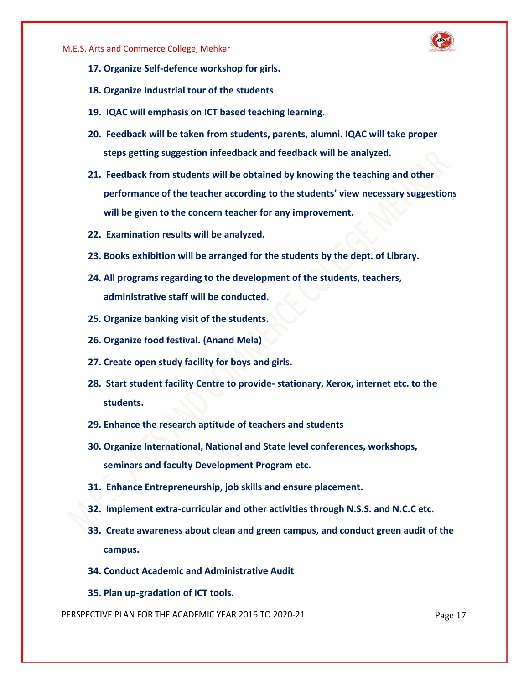

- **17. Organize Self-defence workshop for girls.**
- **18. Organize Industrial tour of the students**
- **19. IQAC will emphasis on ICT based teaching learning.**
- **20. Feedback will be taken from students, parents, alumni. IQAC will take proper steps getting suggestion infeedback and feedback will be analyzed.**
- **21. Feedback from students will be obtained by knowing the teaching and other performance of the teacher according to the students' view necessary suggestions will be given to the concern teacher for any improvement.**
- **22. Examination results will be analyzed.**
- **23. Books exhibition will be arranged for the students by the dept. of Library.**
- **24. All programs regarding to the development of the students, teachers, administrative staff will be conducted.**
- **25. Organize banking visit of the students.**
- **26. Organize food festival. (Anand Mela)**
- **27. Create open study facility for boys and girls.**
- **28. Start student facility Centre to provide- stationary, Xerox, internet etc. to the students.**
- **29. Enhance the research aptitude of teachers and students**
- **30. Organize International, National and State level conferences, workshops, seminars and faculty Development Program etc.**
- **31. Enhance Entrepreneurship, job skills and ensure placement.**
- **32. Implement extra-curricular and other activities through N.S.S. and N.C.C etc.**
- **33. Create awareness about clean and green campus, and conduct green audit of the campus.**
- **34. Conduct Academic and Administrative Audit**
- **35. Plan up-gradation of ICT tools.**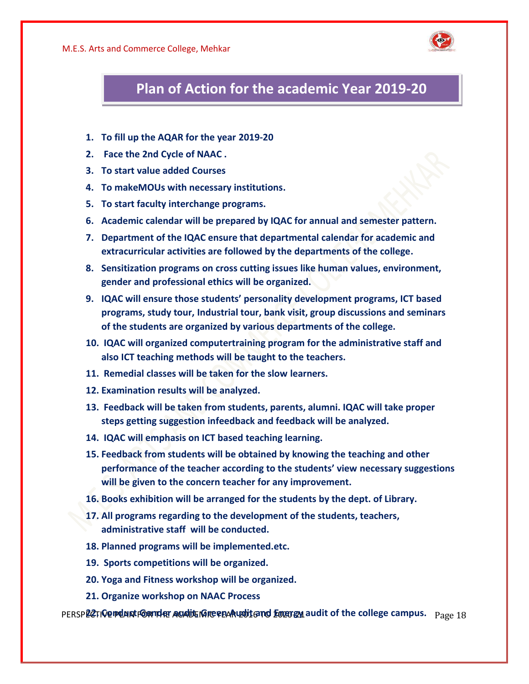

### **Plan of Action for the academic Year 2019-20**

- **1. To fill up the AQAR for the year 2019-20**
- **2. Face the 2nd Cycle of NAAC .**
- **3. To start value added Courses**
- **4. To make MOUs with necessary institutions.**
- **5. To start faculty interchange programs.**
- **6. Academic calendar will be prepared by IQAC for annual and semester pattern.**
- **7. Department of the IQAC ensure that departmental calendar for academic and extracurricular activities are followed by the departments of the college.**
- **8. Sensitization programs on cross cutting issues like human values, environment, gender and professional ethics will be organized.**
- **9. IQAC will ensure those students' personality development programs, ICT based programs, study tour, Industrial tour, bank visit, group discussions and seminars of the students are organized by various departments of the college.**
- **10. IQAC will organized computertraining program for the administrative staff and also ICT teaching methods will be taught to the teachers.**
- **11. Remedial classes will be taken for the slow learners.**
- **12. Examination results will be analyzed.**
- **13. Feedback will be taken from students, parents, alumni. IQAC will take proper steps getting suggestion infeedback and feedback will be analyzed.**
- **14. IQAC will emphasis on ICT based teaching learning.**
- **15. Feedback from students will be obtained by knowing the teaching and other performance of the teacher according to the students' view necessary suggestions will be given to the concern teacher for any improvement.**
- **16. Books exhibition will be arranged for the students by the dept. of Library.**
- **17. All programs regarding to the development of the students, teachers, administrative staff will be conducted.**
- **18. Planned programs will be implemented.etc.**
- **19. Sports competitions will be organized.**
- **20. Yoga and Fitness workshop will be organized.**
- **21. Organize workshop on NAAC Process**

PERSP**LCTIVE PLAN FOR THE AUDITE MIC FOAR LATE TO ENERGY audit of the college campus.**  $_{\rm Page\,18}$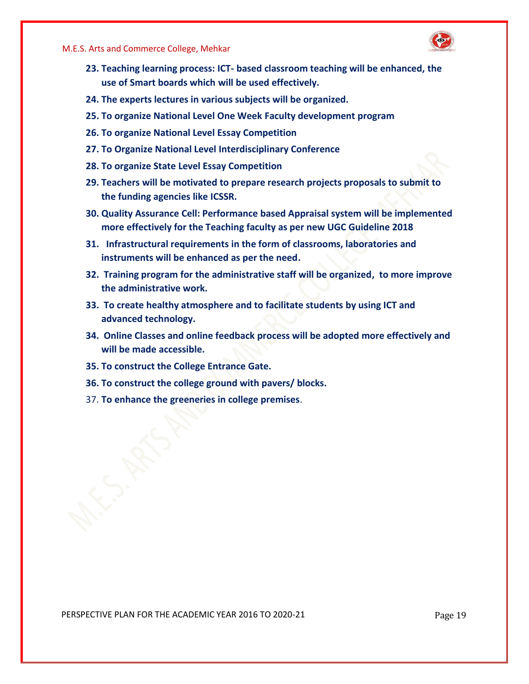

- **23. Teaching learning process: ICT- based classroom teaching will be enhanced, the use of Smart boards which will be used effectively.**
- **24. The experts lectures in various subjects will be organized.**
- **25. To organize National Level One Week Faculty development program**
- **26. To organize National Level Essay Competition**
- **27. To Organize National Level Interdisciplinary Conference**
- **28. To organize State Level Essay Competition**
- **29. Teachers will be motivated to prepare research projects proposals to submit to the funding agencies like ICSSR.**
- **30. Quality Assurance Cell: Performance based Appraisal system will be implemented more effectively for the Teaching faculty as per new UGC Guideline 2018**
- **31. Infrastructural requirements in the form of classrooms, laboratories and instruments will be enhanced as per the need.**
- **32. Training program for the administrative staff will be organized, to more improve the administrative work.**
- **33. To create healthy atmosphere and to facilitate students by using ICT and advanced technology.**
- **34. Online Classes and online feedback process will be adopted more effectively and will be made accessible.**
- **35. To construct the College Entrance Gate.**
- **36. To construct the college ground with pavers/ blocks.**
- 37. **To enhance the greeneries in college premises**.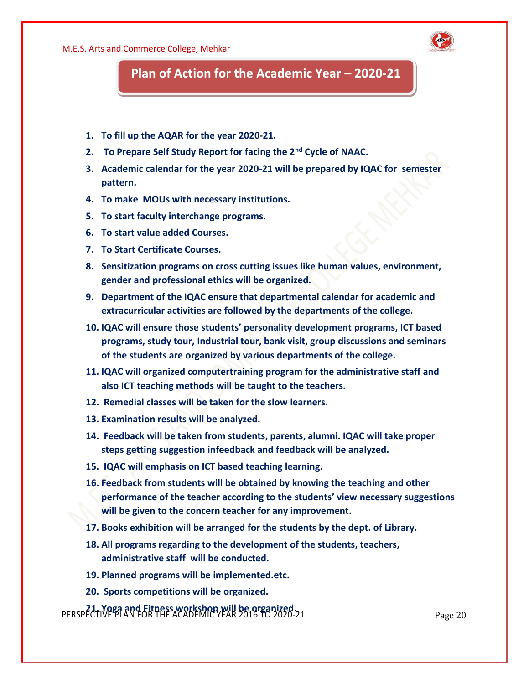

### **Plan of Action for the Academic Year - 2020-21**

- **1. To fill up the AQAR for the year 2020-21.**
- **2. To Prepare Self Study Report for facing the 2nd Cycle of NAAC.**
- **3. Academic calendar for the year 2020-21 will be prepared by IQAC for semester pattern.**
- **4. To make MOUs with necessary institutions.**
- **5. To start faculty interchange programs.**
- **6. To start value added Courses.**
- **7. To Start Certificate Courses.**
- **8. Sensitization programs on cross cutting issues like human values, environment, gender and professional ethics will be organized.**
- **9. Department of the IQAC ensure that departmental calendar for academic and extracurricular activities are followed by the departments of the college.**
- **10. IQAC will ensure those students' personality development programs, ICT based programs, study tour, Industrial tour, bank visit, group discussions and seminars of the students are organized by various departments of the college.**
- **11. IQAC will organized computertraining program for the administrative staff and also ICT teaching methods will be taught to the teachers.**
- **12. Remedial classes will be taken for the slow learners.**
- **13. Examination results will be analyzed.**
- **14. Feedback will be taken from students, parents, alumni. IQAC will take proper steps getting suggestion infeedback and feedback will be analyzed.**
- **15. IQAC will emphasis on ICT based teaching learning.**
- **16. Feedback from students will be obtained by knowing the teaching and other performance of the teacher according to the students' view necessary suggestions will be given to the concern teacher for any improvement.**
- **17. Books exhibition will be arranged for the students by the dept. of Library.**
- **18. All programs regarding to the development of the students, teachers, administrative staff will be conducted.**
- **19. Planned programs will be implemented.etc.**
- **20. Sports competitions will be organized.**

PERSPECTIVE PLAN FOR THE ACADEMIC YEAR 2016 TO 2020-21 Page 20 **21. Yoga and Fitness workshop will be organized.**